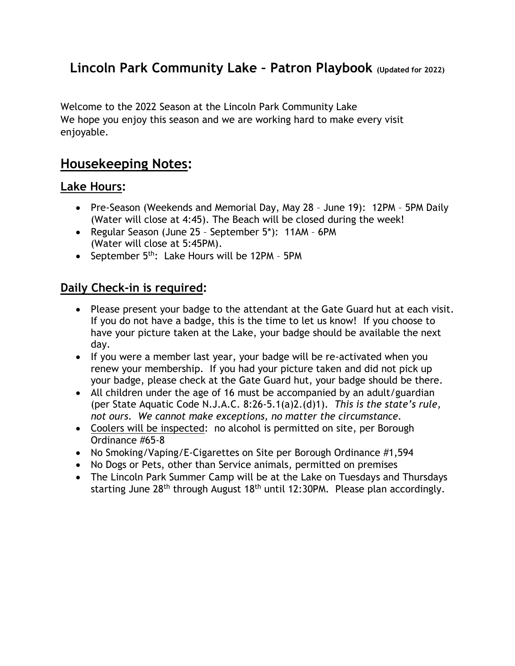### **Lincoln Park Community Lake – Patron Playbook (Updated for 2022)**

Welcome to the 2022 Season at the Lincoln Park Community Lake We hope you enjoy this season and we are working hard to make every visit enjoyable.

### **Housekeeping Notes:**

#### **Lake Hours:**

- Pre-Season (Weekends and Memorial Day, May 28 June 19): 12PM 5PM Daily (Water will close at 4:45). The Beach will be closed during the week!
- Regular Season (June 25 September 5\*): 11AM 6PM (Water will close at 5:45PM).
- September  $5<sup>th</sup>$ : Lake Hours will be 12PM 5PM

### **Daily Check-in is required:**

- Please present your badge to the attendant at the Gate Guard hut at each visit. If you do not have a badge, this is the time to let us know! If you choose to have your picture taken at the Lake, your badge should be available the next day.
- If you were a member last year, your badge will be re-activated when you renew your membership. If you had your picture taken and did not pick up your badge, please check at the Gate Guard hut, your badge should be there.
- All children under the age of 16 must be accompanied by an adult/guardian (per State Aquatic Code N.J.A.C. 8:26-5.1(a)2.(d)1). *This is the state's rule, not ours. We cannot make exceptions, no matter the circumstance.*
- Coolers will be inspected: no alcohol is permitted on site, per Borough Ordinance #65-8
- No Smoking/Vaping/E-Cigarettes on Site per Borough Ordinance #1,594
- No Dogs or Pets, other than Service animals, permitted on premises
- The Lincoln Park Summer Camp will be at the Lake on Tuesdays and Thursdays starting June 28<sup>th</sup> through August 18<sup>th</sup> until 12:30PM. Please plan accordingly.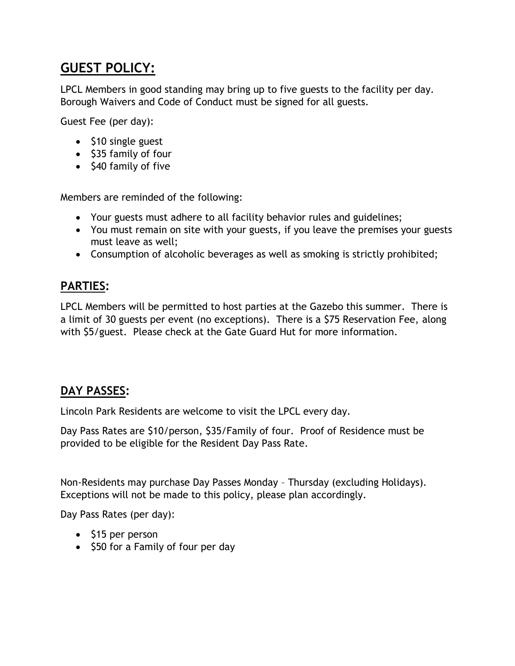# **GUEST POLICY:**

LPCL Members in good standing may bring up to five guests to the facility per day. Borough Waivers and Code of Conduct must be signed for all guests.

Guest Fee (per day):

- $\bullet$  \$10 single guest
- $\bullet$  \$35 family of four
- \$40 family of five

Members are reminded of the following:

- Your guests must adhere to all facility behavior rules and guidelines;
- You must remain on site with your guests, if you leave the premises your guests must leave as well;
- Consumption of alcoholic beverages as well as smoking is strictly prohibited;

#### **PARTIES:**

LPCL Members will be permitted to host parties at the Gazebo this summer. There is a limit of 30 guests per event (no exceptions). There is a \$75 Reservation Fee, along with \$5/guest. Please check at the Gate Guard Hut for more information.

### **DAY PASSES:**

Lincoln Park Residents are welcome to visit the LPCL every day.

Day Pass Rates are \$10/person, \$35/Family of four. Proof of Residence must be provided to be eligible for the Resident Day Pass Rate.

Non-Residents may purchase Day Passes Monday – Thursday (excluding Holidays). Exceptions will not be made to this policy, please plan accordingly.

Day Pass Rates (per day):

- $\bullet$  \$15 per person
- $\bullet$  \$50 for a Family of four per day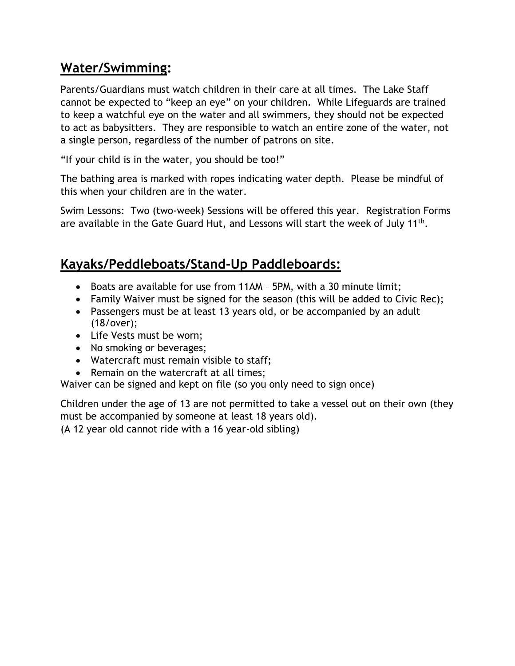### **Water/Swimming:**

Parents/Guardians must watch children in their care at all times. The Lake Staff cannot be expected to "keep an eye" on your children. While Lifeguards are trained to keep a watchful eye on the water and all swimmers, they should not be expected to act as babysitters. They are responsible to watch an entire zone of the water, not a single person, regardless of the number of patrons on site.

"If your child is in the water, you should be too!"

The bathing area is marked with ropes indicating water depth. Please be mindful of this when your children are in the water.

Swim Lessons: Two (two-week) Sessions will be offered this year. Registration Forms are available in the Gate Guard Hut, and Lessons will start the week of July 11<sup>th</sup>.

# **Kayaks/Peddleboats/Stand-Up Paddleboards:**

- Boats are available for use from 11AM 5PM, with a 30 minute limit;
- Family Waiver must be signed for the season (this will be added to Civic Rec);
- Passengers must be at least 13 years old, or be accompanied by an adult (18/over);
- Life Vests must be worn;
- No smoking or beverages;
- Watercraft must remain visible to staff;
- Remain on the watercraft at all times:

Waiver can be signed and kept on file (so you only need to sign once)

Children under the age of 13 are not permitted to take a vessel out on their own (they must be accompanied by someone at least 18 years old).

(A 12 year old cannot ride with a 16 year-old sibling)